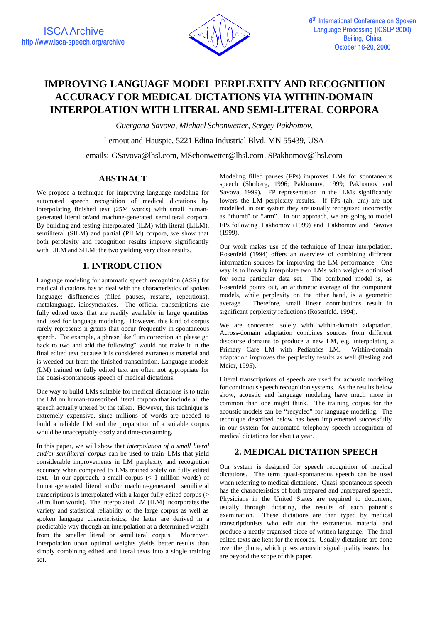

# **IMPROVING LANGUAGE MODEL PERPLEXITY AND RECOGNITION ACCURACY FOR MEDICAL DICTATIONS VIA WITHIN-DOMAIN INTERPOLATION WITH LITERAL AND SEMI-LITERAL CORPORA**

*Guergana Savova, Michael Schonwetter, Sergey Pakhomov,* Lernout and Hauspie, 5221 Edina Industrial Blvd, MN 55439, USA emails: GSavova@lhsl.com, MSchonwetter@lhsl.com, SPakhomov@lhsl.com

# **ABSTRACT**

We propose a technique for improving language modeling for automated speech recognition of medical dictations by interpolating finished text (25M words) with small humangenerated literal or/and machine-generated semiliteral corpora. By building and testing interpolated (ILM) with literal (LILM), semiliteral (SILM) and partial (PILM) corpora, we show that both perplexity and recognition results improve significantly with LILM and SILM; the two yielding very close results.

# **1. INTRODUCTION**

Language modeling for automatic speech recognition (ASR) for medical dictations has to deal with the characteristics of spoken language: disfluencies (filled pauses, restarts, repetitions), metalanguage, idiosyncrasies. The official transcriptions are fully edited texts that are readily available in large quantities and used for language modeling. However, this kind of corpus rarely represents n-grams that occur frequently in spontaneous speech. For example, a phrase like "um correction ah please go back to two and add the following" would not make it in the final edited text because it is considered extraneous material and is weeded out from the finished transcription. Language models (LM) trained on fully edited text are often not appropriate for the quasi-spontaneous speech of medical dictations.

One way to build LMs suitable for medical dictations is to train the LM on human-transcribed literal corpora that include all the speech actually uttered by the talker. However, this technique is extremely expensive, since millions of words are needed to build a reliable LM and the preparation of a suitable corpus would be unacceptably costly and time-consuming.

In this paper, we will show that *interpolation of a small literal and/or semiliteral corpus* can be used to train LMs that yield considerable improvements in LM perplexity and recognition accuracy when compared to LMs trained solely on fully edited text. In our approach, a small corpus (< 1 million words) of human-generated literal and/or machine-generated semiliteral transcriptions is interpolated with a larger fully edited corpus (> 20 million words). The interpolated LM (ILM) incorporates the variety and statistical reliability of the large corpus as well as spoken language characteristics; the latter are derived in a predictable way through an interpolation at a determined weight from the smaller literal or semiliteral corpus. Moreover, interpolation upon optimal weights yields better results than simply combining edited and literal texts into a single training set.

Modeling filled pauses (FPs) improves LMs for spontaneous speech (Shriberg, 1996; Pakhomov, 1999; Pakhomov and Savova, 1999). FP representation in the LMs significantly lowers the LM perplexity results. If FPs (ah, um) are not modelled, in our system they are usually recognised incorrectly as "thumb" or "arm". In our approach, we are going to model FPs following Pakhomov (1999) and Pakhomov and Savova (1999).

Our work makes use of the technique of linear interpolation. Rosenfeld (1994) offers an overview of combining different information sources for improving the LM performance. One way is to linearly interpolate two LMs with weights optimised for some particular data set. The combined model is, as Rosenfeld points out, an arithmetic average of the component models, while perplexity on the other hand, is a geometric average. Therefore, small linear contributions result in significant perplexity reductions (Rosenfeld, 1994).

We are concerned solely with within-domain adaptation. Across-domain adaptation combines sources from different discourse domains to produce a new LM, e.g. interpolating a Primary Care LM with Pediatrics LM. Within-domain adaptation improves the perplexity results as well (Besling and Meier, 1995).

Literal transcriptions of speech are used for acoustic modeling for continuous speech recognition systems. As the results below show, acoustic and language modeling have much more in common than one might think. The training corpus for the acoustic models can be "recycled" for language modeling. The technique described below has been implemented successfully in our system for automated telephony speech recognition of medical dictations for about a year.

## **2. MEDICAL DICTATION SPEECH**

Our system is designed for speech recognition of medical dictations. The term quasi-spontaneous speech can be used when referring to medical dictations. Quasi-spontaneous speech has the characteristics of both prepared and unprepared speech. Physicians in the United States are required to document, usually through dictating, the results of each patient's examination. These dictations are then typed by medical transcriptionists who edit out the extraneous material and produce a neatly organised piece of written language. The final edited texts are kept for the records. Usually dictations are done over the phone, which poses acoustic signal quality issues that are beyond the scope of this paper.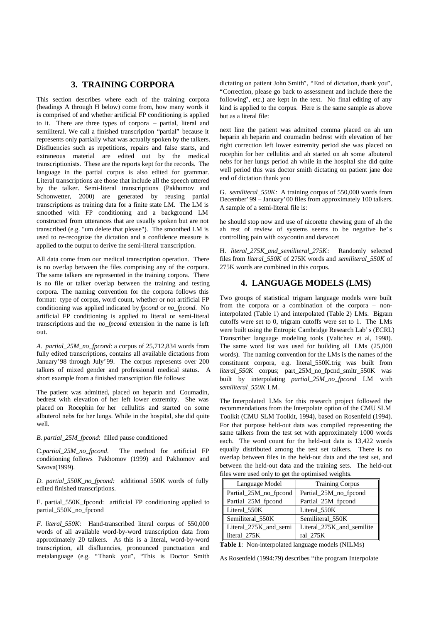## **3. TRAINING CORPORA**

This section describes where each of the training corpora (headings A through H below) come from, how many words it is comprised of and whether artificial FP conditioning is applied to it. There are three types of corpora – partial, literal and semiliteral. We call a finished transcription "partial" because it represents only partially what was actually spoken by the talkers. Disfluencies such as repetitions, repairs and false starts, and extraneous material are edited out by the medical transcriptionists. These are the reports kept for the records. The language in the partial corpus is also edited for grammar. Literal transcriptions are those that include all the speech uttered by the talker. Semi-literal transcriptions (Pakhomov and Schonwetter, 2000) are generated by reusing partial transcriptions as training data for a finite state LM. The LM is smoothed with FP conditioning and a background LM constructed from utterances that are usually spoken but are not transcribed (e.g. "um delete that please"). The smoothed LM is used to re-recognize the dictation and a confidence measure is applied to the output to derive the semi-literal transcription.

All data come from our medical transcription operation. There is no overlap between the files comprising any of the corpora. The same talkers are represented in the training corpora. There is no file or talker overlap between the training and testing corpora. The naming convention for the corpora follows this format: type of corpus, word count, whether or not artificial FP conditioning was applied indicated by *fpcond* or *no\_fpcond*. No artificial FP conditioning is applied to literal or semi-literal transcriptions and the *no\_fpcond* extension in the name is left out.

*A. partial\_25M\_no\_fpcond*: a corpus of 25,712,834 words from fully edited transcriptions, contains all available dictations from January'98 through July'99. The corpus represents over 200 talkers of mixed gender and professional medical status. A short example from a finished transcription file follows:

The patient was admitted, placed on heparin and Coumadin, bedrest with elevation of her left lower extremity. She was placed on Rocephin for her cellulitis and started on some albuterol nebs for her lungs. While in the hospital, she did quite well.

#### *B. partial\_25M\_fpcond*: filled pause conditioned

C.*partial\_25M\_no\_fpcond*. The method for artificial FP conditioning follows Pakhomov (1999) and Pakhomov and Savova(1999).

*D. partial\_550K\_no\_fpcond:* additional 550K words of fully edited finished transcriptions.

E. partial\_550K\_fpcond: artificial FP conditioning applied to partial\_550K\_no\_fpcond

*F. literal\_550K*: Hand-transcribed literal corpus of 550,000 words of all available word-by-word transcription data from approximately 20 talkers. As this is a literal, word-by-word transcription, all disfluencies, pronounced punctuation and metalanguage (e.g. "Thank you", "This is Doctor Smith dictating on patient John Smith", "End of dictation, thank you", "Correction, please go back to assessment and include there the following", etc.) are kept in the text. No final editing of any kind is applied to the corpus. Here is the same sample as above but as a literal file:

next line the patient was admitted comma placed on ah um heparin ah heparin and coumadin bedrest with elevation of her right correction left lower extremity period she was placed on rocephin for her cellulitis and ah started on ah some albuterol nebs for her lungs period ah while in the hospital she did quite well period this was doctor smith dictating on patient jane doe end of dictation thank you

G. *semiliteral\_550K:* A training corpus of 550,000 words from December'99 – January'00 files from approximately 100 talkers. A sample of a semi-literal file is:

he should stop now and use of nicorette chewing gum of ah the ah rest of review of systems seems to be negative he's controlling pain with oxycontin and darvocet

H. *literal\_275K\_and\_semiliteral\_275K*: Randomly selected files from *literal\_550K* of 275K words and *semiliteral\_550K* of 275K words are combined in this corpus.

#### **4. LANGUAGE MODELS (LMS)**

Two groups of statistical trigram language models were built from the corpora or a combination of the corpora – noninterpolated (Table 1) and interpolated (Table 2) LMs. Bigram cutoffs were set to 0, trigram cutoffs were set to 1. The LMs were built using the Entropic Cambridge Research Lab's (ECRL) Transcriber language modeling tools (Valtchev et al, 1998). The same word list was used for building all LMs (25,000 words). The naming convention for the LMs is the names of the constituent corpora, e.g. literal\_550K.trig was built from *literal\_550K* corpus; part\_25M\_no\_fpcnd\_smltr\_550K was built by interpolating *partial\_25M\_no\_fpcond* LM with *semiliteral\_550K* LM.

The Interpolated LMs for this research project followed the recommendations from the Interpolate option of the CMU SLM Toolkit (CMU SLM Toolkit, 1994), based on Rosenfeld (1994). For that purpose held-out data was compiled representing the same talkers from the test set with approximately 1000 words each. The word count for the held-out data is 13,422 words equally distributed among the test set talkers. There is no overlap between files in the held-out data and the test set, and between the held-out data and the training sets. The held-out files were used only to get the optimised weights.

| Language Model        | <b>Training Corpus</b>    |
|-----------------------|---------------------------|
| Partial_25M_no_fpcond | Partial 25M no fpcond     |
| Partial 25M fpcond    | Partial_25M_fpcond        |
| Literal 550K          | Literal 550K              |
| Semiliteral 550K      | Semiliteral 550K          |
| Literal 275K and semi | Literal 275K and semilite |
| literal 275K          | ral 275K                  |

**Table 1**: Non-interpolated language models (NILMs)

As Rosenfeld (1994:79) describes "the program Interpolate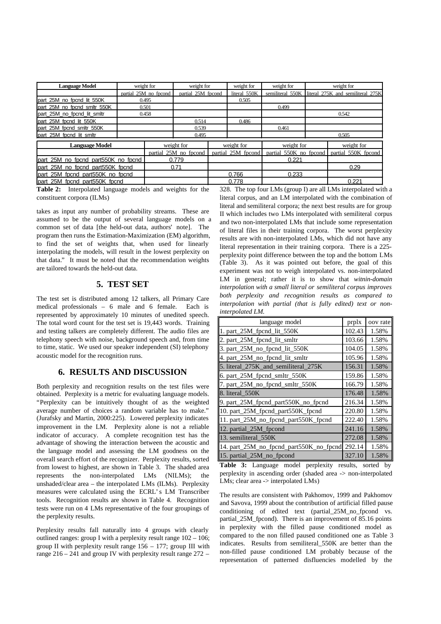| <b>Language Model</b>               |                       | weight for | weight for            |  | weight for   | weight for                                | weight for                                         |
|-------------------------------------|-----------------------|------------|-----------------------|--|--------------|-------------------------------------------|----------------------------------------------------|
|                                     | partial 25M no fpcond |            | partial 25M fpcond    |  | literal 550K |                                           | semiliteral 550K literal 275K and semiliteral 275K |
| part 25M no fpcnd lit 550K          | 0.495                 |            |                       |  | 0.505        |                                           |                                                    |
| part 25M no fpcnd smltr 550K        |                       | 0.501      |                       |  |              | 0.499                                     |                                                    |
| part 25M no fpcnd lit smltr         |                       | 0.458      |                       |  |              |                                           | 0.542                                              |
| part 25M focnd lit 550K             |                       |            | 0.514                 |  | 0.486        |                                           |                                                    |
| part_25M_fpcnd_smltr_550K           |                       |            | 0.539                 |  |              | 0.461                                     |                                                    |
| part 25M fpcnd lit smltr            |                       |            | 0.495                 |  |              |                                           | 0.505                                              |
| <b>Language Model</b>               |                       |            | weight for            |  | weight for   | weight for                                | weight for                                         |
|                                     |                       |            | partial 25M no fpcond |  |              | partial 25M fpcond partial 550K no fpcond | partial 550K fpcond                                |
| part 25M no fpcnd part550K no fpcnd |                       |            | 0.779                 |  |              | 0.221                                     |                                                    |
| part 25M no fpcnd part550K fpcnd    |                       |            | 0.71                  |  |              |                                           | 0.29                                               |
| part 25M fpcnd part550K no fpcnd    |                       |            |                       |  | 0.766        | 0.233                                     |                                                    |
| part 25M fpcnd part550K fpcnd       |                       |            |                       |  | 0.778        |                                           | 0.221                                              |

**Table 2:** Interpolated language models and weights for the constituent corpora (ILMs)

takes as input any number of probability streams. These are assumed to be the output of several language models on a common set of data [the held-out data, authors' note]. The program then runs the Estimation-Maximization (EM) algorithm, to find the set of weights that, when used for linearly interpolating the models, will result in the lowest perplexity on that data." It must be noted that the recommendation weights are tailored towards the held-out data.

## **5. TEST SET**

The test set is distributed among 12 talkers, all Primary Care medical professionals – 6 male and 6 female. Each is represented by approximately 10 minutes of unedited speech. The total word count for the test set is 19,443 words. Training and testing talkers are completely different. The audio files are telephony speech with noise, background speech and, from time to time, static. We used our speaker independent (SI) telephony acoustic model for the recognition runs.

# **6. RESULTS AND DISCUSSION**

Both perplexity and recognition results on the test files were obtained. Perplexity is a metric for evaluating language models. "Perplexity can be intuitively thought of as the weighted average number of choices a random variable has to make." (Jurafsky and Martin, 2000:225). Lowered perplexity indicates improvement in the LM. Perplexity alone is not a reliable indicator of accuracy. A complete recognition test has the advantage of showing the interaction between the acoustic and the language model and assessing the LM goodness on the overall search effort of the recognizer. Perplexity results, sorted from lowest to highest, are shown in Table 3. The shaded area represents the non-interpolated LMs (NILMs); the unshaded/clear area – the interpolated LMs (ILMs). Perplexity measures were calculated using the ECRL's LM Transcriber tools. Recognition results are shown in Table 4. Recognition tests were run on 4 LMs representative of the four groupings of the perplexity results.

Perplexity results fall naturally into 4 groups with clearly outlined ranges: group I with a perplexity result range 102 – 106; group II with perplexity result range  $156 - 177$ ; group III with range 216 – 241 and group IV with perplexity result range 272 –

328. The top four LMs (group I) are all LMs interpolated with a literal corpus, and an LM interpolated with the combination of literal and semiliteral corpora; the next best results are for group II which includes two LMs interpolated with semiliteral corpus and two non-interpolated LMs that include some representation of literal files in their training corpora. The worst perplexity results are with non-interpolated LMs, which did not have any literal representation in their training corpora. There is a 225 perplexity point difference between the top and the bottom LMs (Table 3). As it was pointed out before, the goal of this experiment was not to weigh interpolated vs. non-interpolated LM in general; rather it is to show that *witnin-domain interpolation with a small literal or semiliteral corpus improves both perplexity and recognition results as compared to interpolation with partial (that is fully edited) text or noninterpolated LM.*

| language model                                 | prplx  | oov rate |
|------------------------------------------------|--------|----------|
| 1. part 25M fpcnd lit 550K                     | 102.43 | 1.58%    |
| 2. part_25M_fpcnd_lit_smltr                    | 103.66 | 1.58%    |
| 3. part_25M_no_fpcnd_lit_550K                  | 104.05 | 1.58%    |
| 4. part_25M_no_fpcnd_lit_smltr                 | 105.96 | 1.58%    |
| 5. literal_275K_and_semiliteral_275K           | 156.31 | 1.58%    |
| 6. part_25M_fpcnd_smltr_550K                   | 159.86 | 1.58%    |
| 7. part_25M_no_fpcnd_smltr_550K                | 166.79 | 1.58%    |
| 8. literal 550K                                | 176.48 | 1.58%    |
| 9. part_25M_fpcnd_part550K_no_fpcnd            | 216.34 | 1.58%    |
| 10. part_25M_fpcnd_part550K_fpcnd              | 220.80 | 1.58%    |
| 11. part_25M_no_fpcnd_part550K_fpcnd           | 222.40 | 1.58%    |
| 12. partial_25M_fpcond                         | 241.16 | 1.58%    |
| 13. semiliteral_550K                           | 272.08 | 1.58%    |
| 14. part_25M_no_fpcnd_part550K_no_fpcnd 292.14 |        | 1.58%    |
| 15. partial_25M_no_fpcond                      | 327.10 | 1.58%    |

**Table 3:** Language model perplexity results, sorted by perplexity in ascending order (shaded area -> non-interpolated LMs; clear area -> interpolated LMs)

The results are consistent with Pakhomov, 1999 and Pakhomov and Savova, 1999 about the contribution of artificial filled pause conditioning of edited text (partial\_25M\_no\_fpcond vs. partial\_25M\_fpcond). There is an improvement of 85.16 points in perplexity with the filled pause conditioned model as compared to the non filled paused conditioned one as Table 3 indicates. Results from semiliteral\_550K are better than the non-filled pause conditioned LM probably because of the representation of patterned disfluencies modelled by the